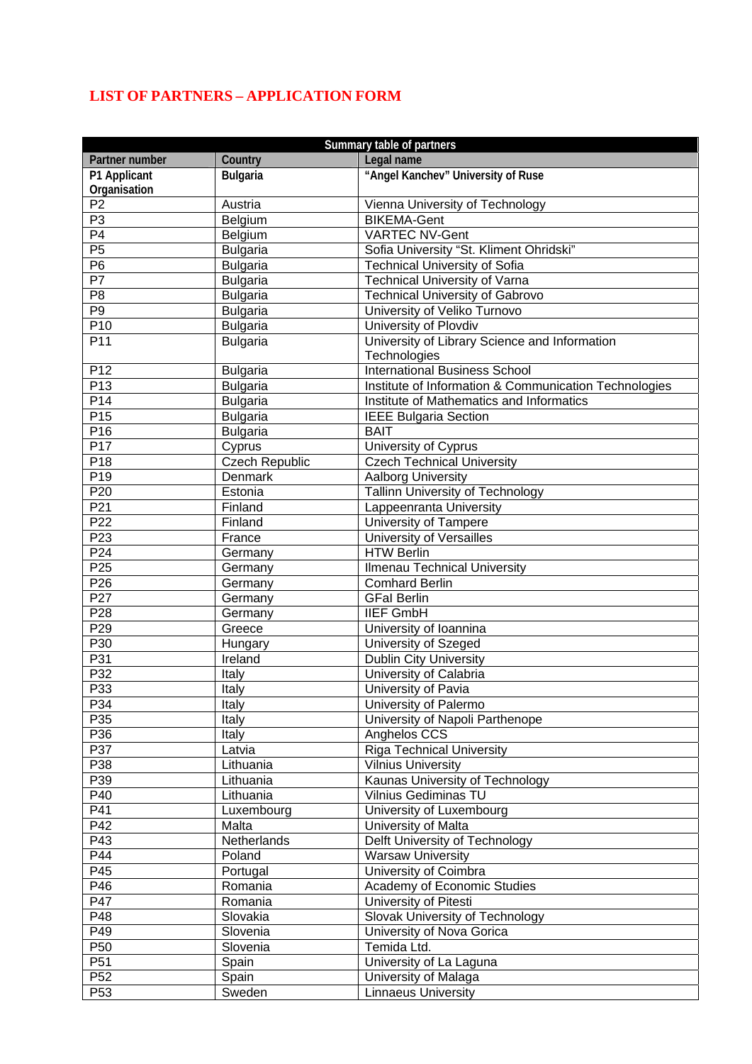## **LIST OF PARTNERS – APPLICATION FORM**

| Summary table of partners |                       |                                                       |  |
|---------------------------|-----------------------|-------------------------------------------------------|--|
| Partner number            | Country               | Legal name                                            |  |
| P1 Applicant              | <b>Bulgaria</b>       | "Angel Kanchev" University of Ruse                    |  |
| Organisation              |                       |                                                       |  |
| P <sub>2</sub>            | Austria               | Vienna University of Technology                       |  |
| P3                        | Belgium               | <b>BIKEMA-Gent</b>                                    |  |
| $\overline{P4}$           | Belgium               | VARTEC NV-Gent                                        |  |
| P5                        | <b>Bulgaria</b>       | Sofia University "St. Kliment Ohridski"               |  |
| $\overline{P6}$           | <b>Bulgaria</b>       | <b>Technical University of Sofia</b>                  |  |
| $\overline{P7}$           | <b>Bulgaria</b>       | <b>Technical University of Varna</b>                  |  |
| P <sub>8</sub>            | <b>Bulgaria</b>       | <b>Technical University of Gabrovo</b>                |  |
| P <sub>9</sub>            | <b>Bulgaria</b>       | University of Veliko Turnovo                          |  |
| P <sub>10</sub>           | <b>Bulgaria</b>       | University of Plovdiv                                 |  |
| P11                       | <b>Bulgaria</b>       | University of Library Science and Information         |  |
|                           |                       | Technologies                                          |  |
| P <sub>12</sub>           | <b>Bulgaria</b>       | <b>International Business School</b>                  |  |
| P13                       | <b>Bulgaria</b>       | Institute of Information & Communication Technologies |  |
| P <sub>14</sub>           | <b>Bulgaria</b>       | Institute of Mathematics and Informatics              |  |
| P <sub>15</sub>           | <b>Bulgaria</b>       | <b>IEEE Bulgaria Section</b>                          |  |
| P16                       | <b>Bulgaria</b>       | <b>BAIT</b>                                           |  |
| P17                       | Cyprus                | University of Cyprus                                  |  |
| P18                       | <b>Czech Republic</b> | <b>Czech Technical University</b>                     |  |
| P <sub>19</sub>           | Denmark               | Aalborg University                                    |  |
| P <sub>20</sub>           | Estonia               | <b>Tallinn University of Technology</b>               |  |
| P21                       | Finland               | Lappeenranta University                               |  |
| P <sub>22</sub>           | Finland               | University of Tampere                                 |  |
| P <sub>23</sub>           | France                | University of Versailles                              |  |
| P <sub>24</sub>           | Germany               | <b>HTW Berlin</b>                                     |  |
| P <sub>25</sub>           | Germany               | Ilmenau Technical University                          |  |
| P <sub>26</sub>           | Germany               | <b>Comhard Berlin</b>                                 |  |
| P27                       | Germany               | <b>GFal Berlin</b>                                    |  |
| P <sub>28</sub>           | Germany               | <b>IIEF GmbH</b>                                      |  |
| P <sub>29</sub>           | Greece                | University of Ioannina                                |  |
| P30                       | Hungary               | University of Szeged                                  |  |
| P31                       | Ireland               | <b>Dublin City University</b>                         |  |
| P <sub>32</sub>           | Italy                 | University of Calabria                                |  |
| P33                       | Italy                 | University of Pavia                                   |  |
| P34                       | <b>Italy</b>          | University of Palermo                                 |  |
| P35                       | Italy                 | University of Napoli Parthenope                       |  |
| P36                       | Italy                 | Anghelos CCS                                          |  |
| P37                       | Latvia                | <b>Riga Technical University</b>                      |  |
| P38                       | Lithuania             | <b>Vilnius University</b>                             |  |
| P39                       | Lithuania             | Kaunas University of Technology                       |  |
| P40                       | Lithuania             | <b>Vilnius Gediminas TU</b>                           |  |
| P41                       | Luxembourg            | University of Luxembourg                              |  |
| P42                       | Malta                 | University of Malta                                   |  |
| P43                       | Netherlands           | Delft University of Technology                        |  |
| P44                       | Poland                | <b>Warsaw University</b>                              |  |
| P45                       | Portugal              | University of Coimbra                                 |  |
| P46                       | Romania               | Academy of Economic Studies                           |  |
| P47                       | Romania               | University of Pitesti                                 |  |
| P48                       | Slovakia              | Slovak University of Technology                       |  |
| P49                       | Slovenia              | University of Nova Gorica                             |  |
| P <sub>50</sub>           | Slovenia              | Temida Ltd.                                           |  |
| P <sub>51</sub>           | Spain                 | University of La Laguna                               |  |
| P <sub>52</sub>           | Spain                 | University of Malaga                                  |  |
|                           |                       |                                                       |  |
| P <sub>53</sub>           | Sweden                | <b>Linnaeus University</b>                            |  |